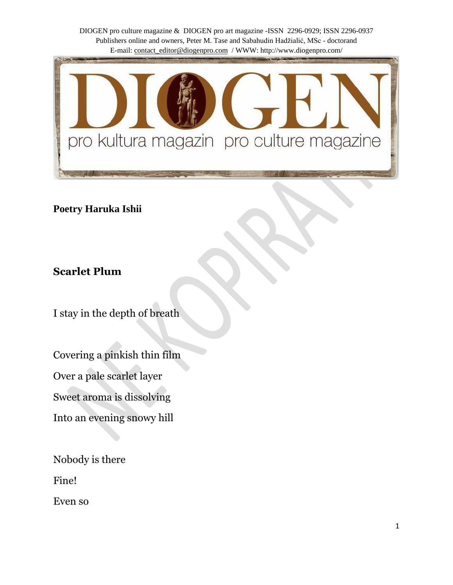

**Poetry Haruka Ishii**

**Scarlet Plum**

I stay in the depth of breath

Covering a pinkish thin film Over a pale scarlet layer

Sweet aroma is dissolving

Into an evening snowy hill

Nobody is there

Fine!

Even so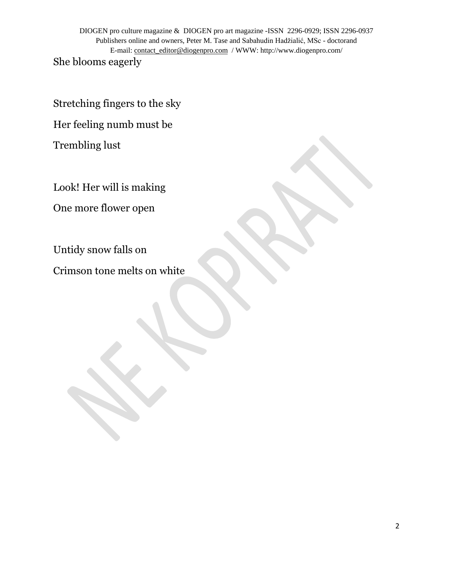She blooms eagerly

Stretching fingers to the sky

Her feeling numb must be

Trembling lust

Look! Her will is making

One more flower open

Untidy snow falls on

Crimson tone melts on white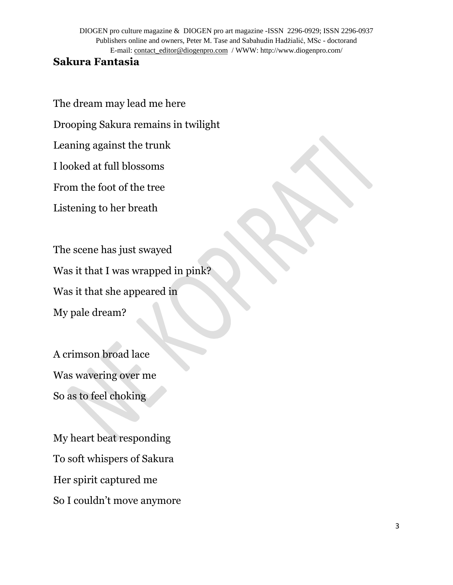### **Sakura Fantasia**

The dream may lead me here

Drooping Sakura remains in twilight

Leaning against the trunk

I looked at full blossoms

From the foot of the tree

Listening to her breath

The scene has just swayed Was it that I was wrapped in pink? Was it that she appeared in My pale dream?

A crimson broad lace Was wavering over me So as to feel choking

My heart beat responding To soft whispers of Sakura Her spirit captured me So I couldn't move anymore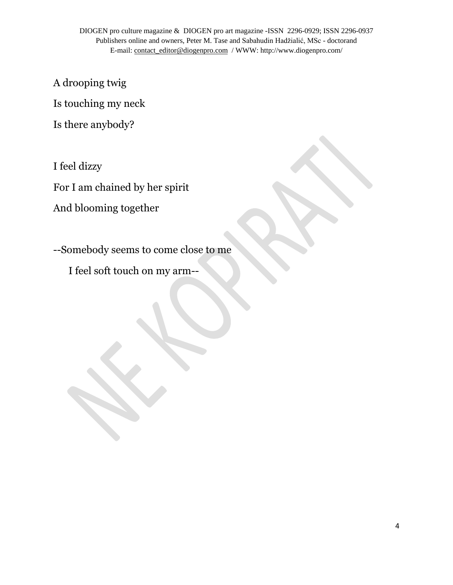A drooping twig

Is touching my neck

Is there anybody?

I feel dizzy

For I am chained by her spirit

And blooming together

--Somebody seems to come close to me

I feel soft touch on my arm--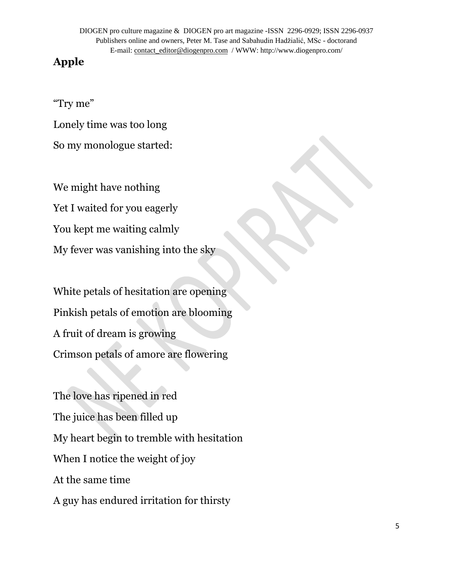# **Apple**

"Try me"

Lonely time was too long

So my monologue started:

We might have nothing Yet I waited for you eagerly You kept me waiting calmly My fever was vanishing into the sky

White petals of hesitation are opening Pinkish petals of emotion are blooming A fruit of dream is growing Crimson petals of amore are flowering

The love has ripened in red The juice has been filled up My heart begin to tremble with hesitation When I notice the weight of joy At the same time A guy has endured irritation for thirsty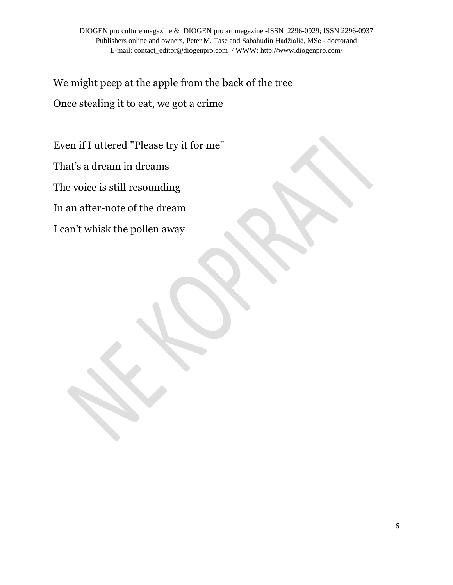We might peep at the apple from the back of the tree Once stealing it to eat, we got a crime

Even if I uttered "Please try it for me"

That's a dream in dreams

The voice is still resounding

In an after-note of the dream

I can't whisk the pollen away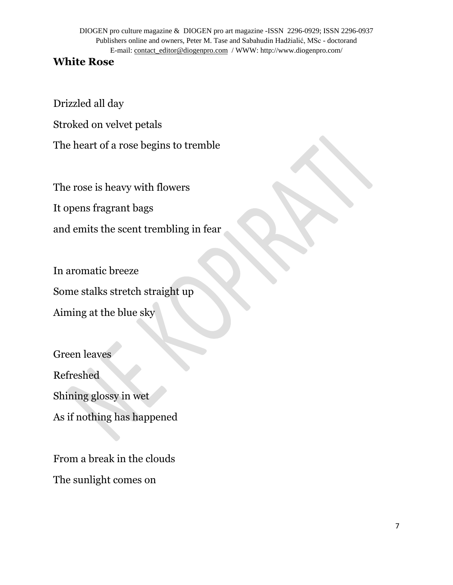## **White Rose**

Drizzled all day

Stroked on velvet petals

The heart of a rose begins to tremble

The rose is heavy with flowers

It opens fragrant bags

and emits the scent trembling in fear

In aromatic breeze Some stalks stretch straight up Aiming at the blue sky

Green leaves Refreshed Shining glossy in wet As if nothing has happened

From a break in the clouds The sunlight comes on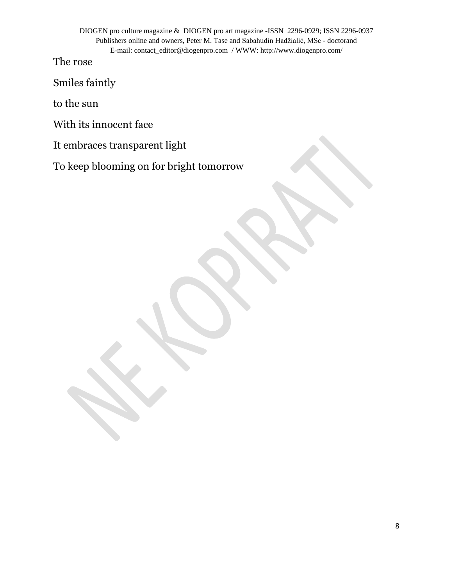The rose

Smiles faintly

to the sun

With its innocent face

It embraces transparent light

To keep blooming on for bright tomorrow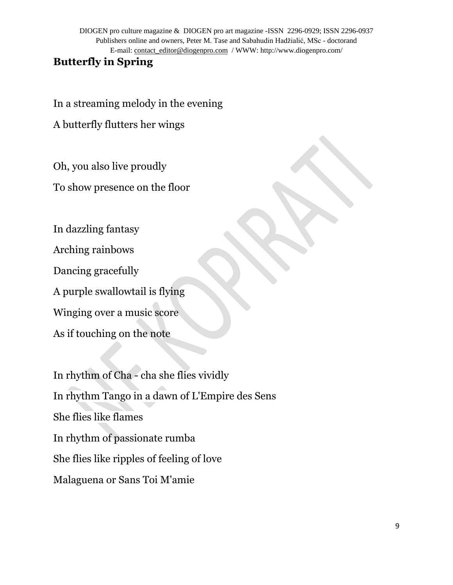## **Butterfly in Spring**

In a streaming melody in the evening

A butterfly flutters her wings

Oh, you also live proudly

To show presence on the floor

In dazzling fantasy Arching rainbows Dancing gracefully A purple swallowtail is flying Winging over a music score As if touching on the note

In rhythm of Cha - cha she flies vividly In rhythm Tango in a dawn of L'Empire des Sens She flies like flames In rhythm of passionate rumba She flies like ripples of feeling of love Malaguena or Sans Toi M'amie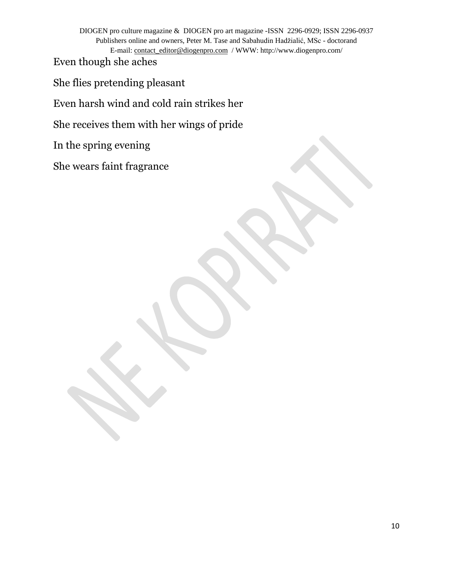Even though she aches

She flies pretending pleasant

Even harsh wind and cold rain strikes her

She receives them with her wings of pride

In the spring evening

She wears faint fragrance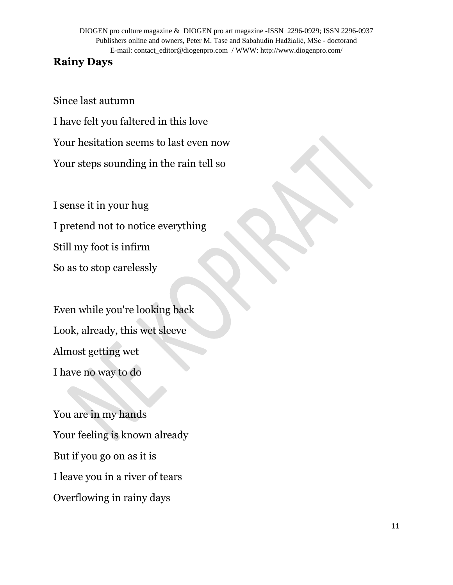#### **Rainy Days**

Since last autumn

I have felt you faltered in this love

Your hesitation seems to last even now

Your steps sounding in the rain tell so

I sense it in your hug I pretend not to notice everything Still my foot is infirm So as to stop carelessly

Even while you're looking back Look, already, this wet sleeve Almost getting wet I have no way to do

You are in my hands Your feeling is known already But if you go on as it is I leave you in a river of tears Overflowing in rainy days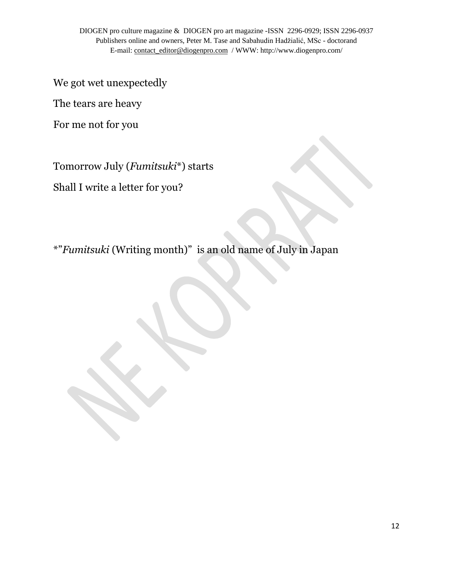We got wet unexpectedly

The tears are heavy

For me not for you

Tomorrow July (*Fumitsuki*\*) starts

Shall I write a letter for you?

\*"*Fumitsuki* (Writing month)" is an old name of July in Japan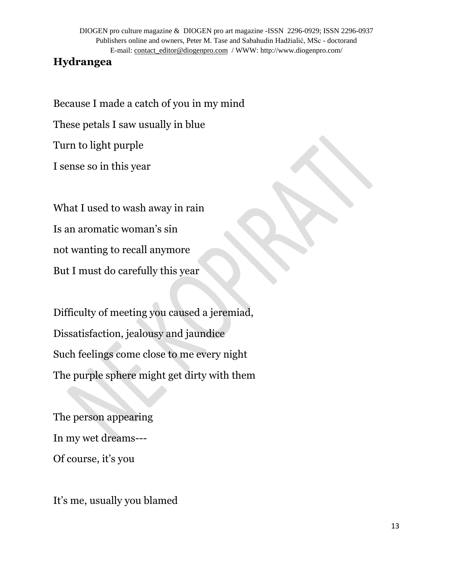## **Hydrangea**

Because I made a catch of you in my mind These petals I saw usually in blue Turn to light purple I sense so in this year

What I used to wash away in rain Is an aromatic woman's sin not wanting to recall anymore But I must do carefully this year

Difficulty of meeting you caused a jeremiad, Dissatisfaction, jealousy and jaundice Such feelings come close to me every night The purple sphere might get dirty with them

The person appearing In my wet dreams--- Of course, it's you

It's me, usually you blamed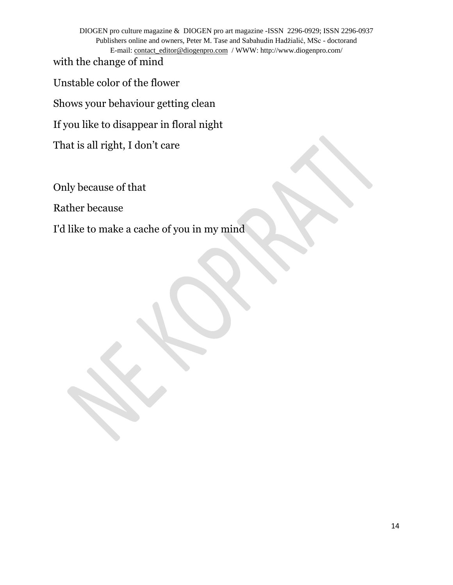with the change of mind

Unstable color of the flower

Shows your behaviour getting clean

If you like to disappear in floral night

That is all right, I don't care

Only because of that

Rather because

I'd like to make a cache of you in my mind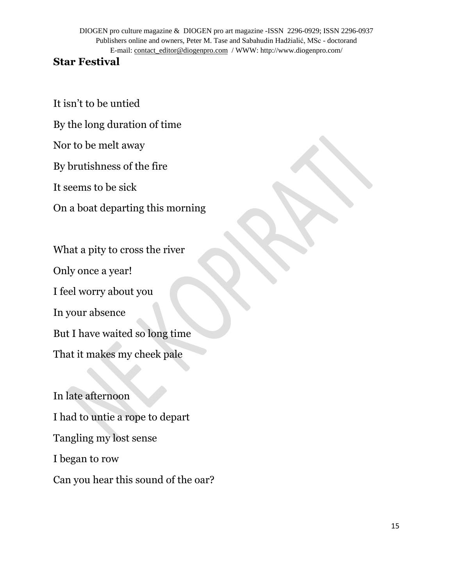## **Star Festival**

It isn't to be untied

By the long duration of time

Nor to be melt away

By brutishness of the fire

It seems to be sick

On a boat departing this morning

What a pity to cross the river Only once a year! I feel worry about you In your absence But I have waited so long time That it makes my cheek pale

In late afternoon I had to untie a rope to depart Tangling my lost sense I began to row Can you hear this sound of the oar?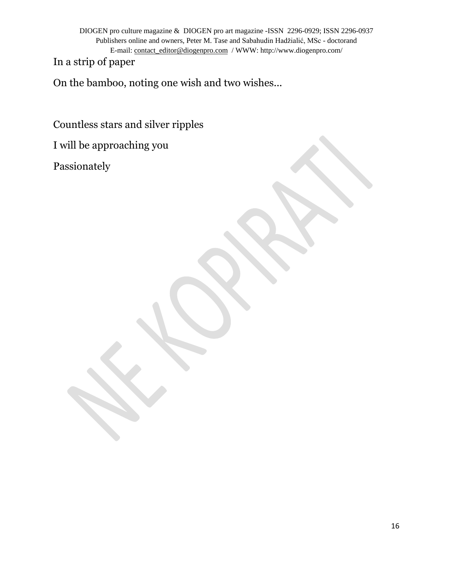In a strip of paper

On the bamboo, noting one wish and two wishes...

Countless stars and silver ripples

I will be approaching you

Passionately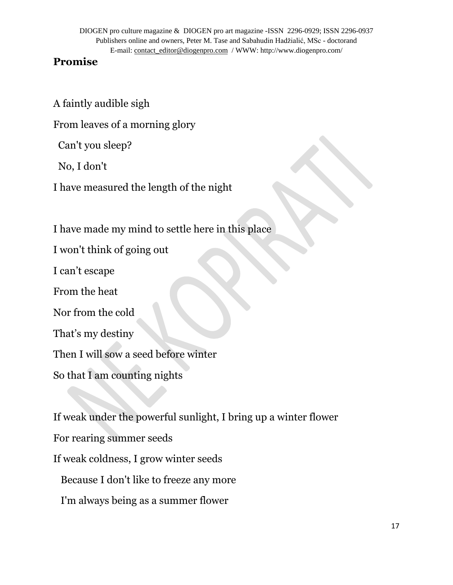## **Promise**

A faintly audible sigh

From leaves of a morning glory

Can't you sleep?

No, I don't

I have measured the length of the night

I have made my mind to settle here in this place

I won't think of going out

I can't escape

From the heat

Nor from the cold

That's my destiny

Then I will sow a seed before winter

So that I am counting nights

If weak under the powerful sunlight, I bring up a winter flower For rearing summer seeds If weak coldness, I grow winter seeds Because I don't like to freeze any more I'm always being as a summer flower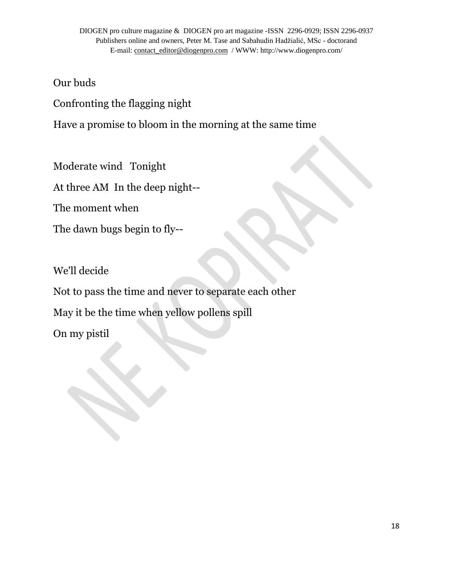Our buds

Confronting the flagging night

Have a promise to bloom in the morning at the same time

Moderate wind Tonight

At three AM In the deep night--

The moment when

The dawn bugs begin to fly--

We'll decide

Not to pass the time and never to separate each other

May it be the time when yellow pollens spill

On my pistil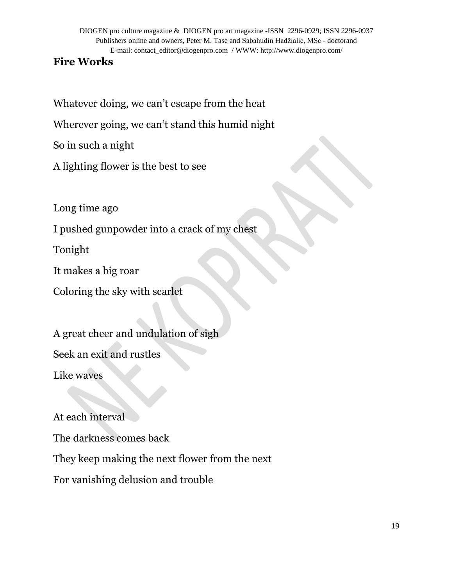## **Fire Works**

Whatever doing, we can't escape from the heat

Wherever going, we can't stand this humid night

So in such a night

A lighting flower is the best to see

Long time ago

I pushed gunpowder into a crack of my chest

Tonight

It makes a big roar

Coloring the sky with scarlet

A great cheer and undulation of sigh

Seek an exit and rustles

Like waves

At each interval

The darkness comes back

They keep making the next flower from the next

For vanishing delusion and trouble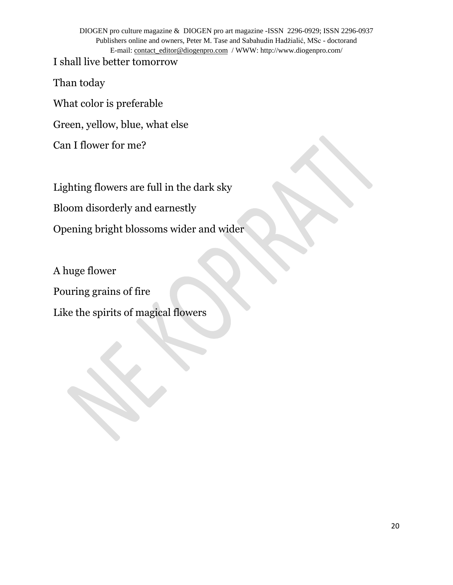I shall live better tomorrow

Than today

What color is preferable

Green, yellow, blue, what else

Can I flower for me?

Lighting flowers are full in the dark sky

Bloom disorderly and earnestly

Opening bright blossoms wider and wider

A huge flower Pouring grains of fire Like the spirits of magical flowers